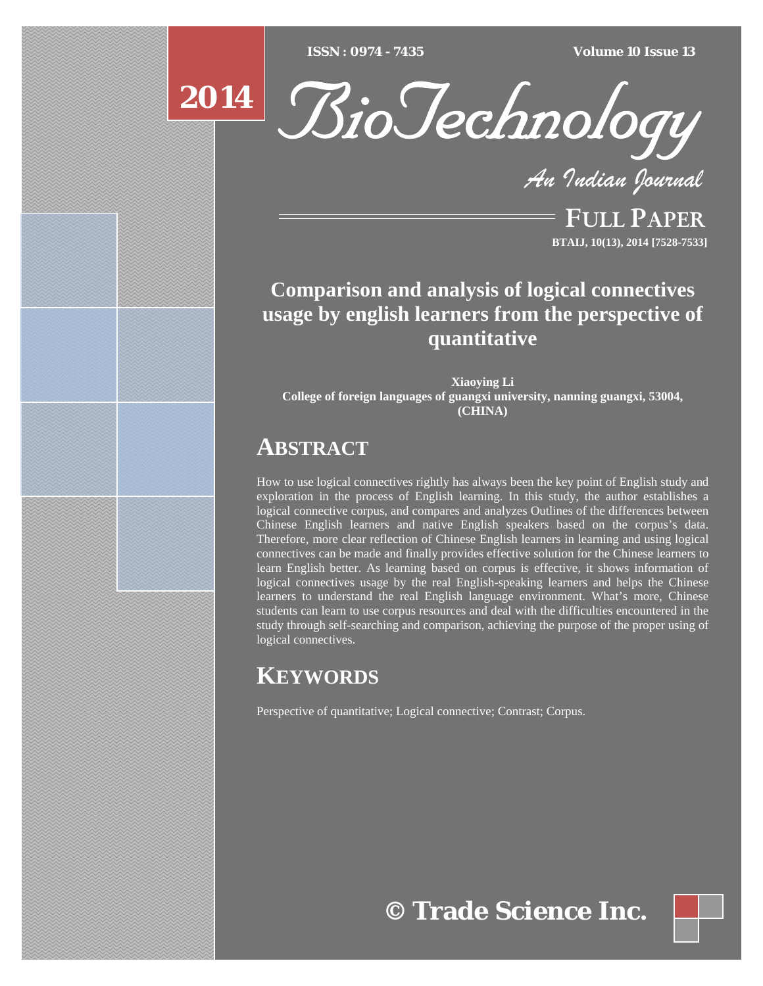$ISSN : 0974 - 7435$ 

*ISSN : 0974 - 7435 Volume 10 Issue 13*

# **2014**



*An Indian Journal*

FULL PAPER **BTAIJ, 10(13), 2014 [7528-7533]**

## **Comparison and analysis of logical connectives usage by english learners from the perspective of quantitative**

**Xiaoying Li College of foreign languages of guangxi university, nanning guangxi, 53004, (CHINA)** 

## **ABSTRACT**

How to use logical connectives rightly has always been the key point of English study and exploration in the process of English learning. In this study, the author establishes a logical connective corpus, and compares and analyzes Outlines of the differences between Chinese English learners and native English speakers based on the corpus's data. Therefore, more clear reflection of Chinese English learners in learning and using logical connectives can be made and finally provides effective solution for the Chinese learners to learn English better. As learning based on corpus is effective, it shows information of logical connectives usage by the real English-speaking learners and helps the Chinese learners to understand the real English language environment. What's more, Chinese students can learn to use corpus resources and deal with the difficulties encountered in the study through self-searching and comparison, achieving the purpose of the proper using of logical connectives.

# **KEYWORDS**

Perspective of quantitative; Logical connective; Contrast; Corpus.

**© Trade Science Inc.**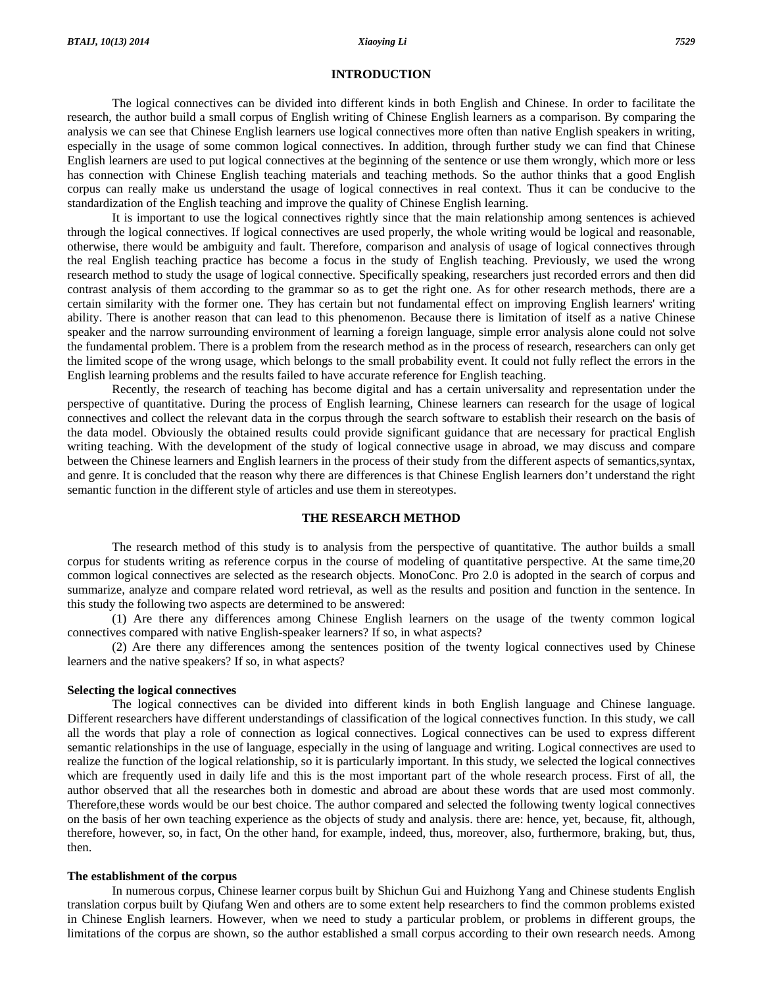#### **INTRODUCTION**

 The logical connectives can be divided into different kinds in both English and Chinese. In order to facilitate the research, the author build a small corpus of English writing of Chinese English learners as a comparison. By comparing the analysis we can see that Chinese English learners use logical connectives more often than native English speakers in writing, especially in the usage of some common logical connectives. In addition, through further study we can find that Chinese English learners are used to put logical connectives at the beginning of the sentence or use them wrongly, which more or less has connection with Chinese English teaching materials and teaching methods. So the author thinks that a good English corpus can really make us understand the usage of logical connectives in real context. Thus it can be conducive to the standardization of the English teaching and improve the quality of Chinese English learning.

 It is important to use the logical connectives rightly since that the main relationship among sentences is achieved through the logical connectives. If logical connectives are used properly, the whole writing would be logical and reasonable, otherwise, there would be ambiguity and fault. Therefore, comparison and analysis of usage of logical connectives through the real English teaching practice has become a focus in the study of English teaching. Previously, we used the wrong research method to study the usage of logical connective. Specifically speaking, researchers just recorded errors and then did contrast analysis of them according to the grammar so as to get the right one. As for other research methods, there are a certain similarity with the former one. They has certain but not fundamental effect on improving English learners' writing ability. There is another reason that can lead to this phenomenon. Because there is limitation of itself as a native Chinese speaker and the narrow surrounding environment of learning a foreign language, simple error analysis alone could not solve the fundamental problem. There is a problem from the research method as in the process of research, researchers can only get the limited scope of the wrong usage, which belongs to the small probability event. It could not fully reflect the errors in the English learning problems and the results failed to have accurate reference for English teaching.

 Recently, the research of teaching has become digital and has a certain universality and representation under the perspective of quantitative. During the process of English learning, Chinese learners can research for the usage of logical connectives and collect the relevant data in the corpus through the search software to establish their research on the basis of the data model. Obviously the obtained results could provide significant guidance that are necessary for practical English writing teaching. With the development of the study of logical connective usage in abroad, we may discuss and compare between the Chinese learners and English learners in the process of their study from the different aspects of semantics,syntax, and genre. It is concluded that the reason why there are differences is that Chinese English learners don't understand the right semantic function in the different style of articles and use them in stereotypes.

#### **THE RESEARCH METHOD**

 The research method of this study is to analysis from the perspective of quantitative. The author builds a small corpus for students writing as reference corpus in the course of modeling of quantitative perspective. At the same time,20 common logical connectives are selected as the research objects. MonoConc. Pro 2.0 is adopted in the search of corpus and summarize, analyze and compare related word retrieval, as well as the results and position and function in the sentence. In this study the following two aspects are determined to be answered:

 (1) Are there any differences among Chinese English learners on the usage of the twenty common logical connectives compared with native English-speaker learners? If so, in what aspects?

 (2) Are there any differences among the sentences position of the twenty logical connectives used by Chinese learners and the native speakers? If so, in what aspects?

#### **Selecting the logical connectives**

 The logical connectives can be divided into different kinds in both English language and Chinese language. Different researchers have different understandings of classification of the logical connectives function. In this study, we call all the words that play a role of connection as logical connectives. Logical connectives can be used to express different semantic relationships in the use of language, especially in the using of language and writing. Logical connectives are used to realize the function of the logical relationship, so it is particularly important. In this study, we selected the logical connectives which are frequently used in daily life and this is the most important part of the whole research process. First of all, the author observed that all the researches both in domestic and abroad are about these words that are used most commonly. Therefore,these words would be our best choice. The author compared and selected the following twenty logical connectives on the basis of her own teaching experience as the objects of study and analysis. there are: hence, yet, because, fit, although, therefore, however, so, in fact, On the other hand, for example, indeed, thus, moreover, also, furthermore, braking, but, thus, then.

#### **The establishment of the corpus**

 In numerous corpus, Chinese learner corpus built by Shichun Gui and Huizhong Yang and Chinese students English translation corpus built by Qiufang Wen and others are to some extent help researchers to find the common problems existed in Chinese English learners. However, when we need to study a particular problem, or problems in different groups, the limitations of the corpus are shown, so the author established a small corpus according to their own research needs. Among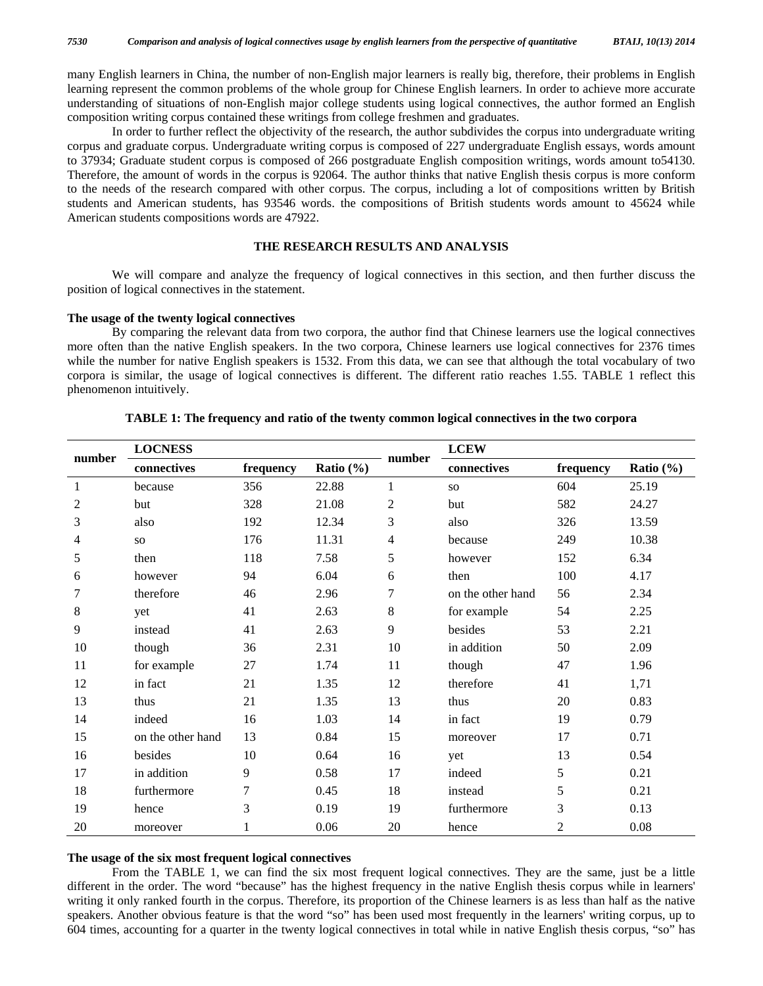many English learners in China, the number of non-English major learners is really big, therefore, their problems in English learning represent the common problems of the whole group for Chinese English learners. In order to achieve more accurate understanding of situations of non-English major college students using logical connectives, the author formed an English composition writing corpus contained these writings from college freshmen and graduates.

 In order to further reflect the objectivity of the research, the author subdivides the corpus into undergraduate writing corpus and graduate corpus. Undergraduate writing corpus is composed of 227 undergraduate English essays, words amount to 37934; Graduate student corpus is composed of 266 postgraduate English composition writings, words amount to54130. Therefore, the amount of words in the corpus is 92064. The author thinks that native English thesis corpus is more conform to the needs of the research compared with other corpus. The corpus, including a lot of compositions written by British students and American students, has 93546 words. the compositions of British students words amount to 45624 while American students compositions words are 47922.

## **THE RESEARCH RESULTS AND ANALYSIS**

 We will compare and analyze the frequency of logical connectives in this section, and then further discuss the position of logical connectives in the statement.

#### **The usage of the twenty logical connectives**

 By comparing the relevant data from two corpora, the author find that Chinese learners use the logical connectives more often than the native English speakers. In the two corpora, Chinese learners use logical connectives for 2376 times while the number for native English speakers is 1532. From this data, we can see that although the total vocabulary of two corpora is similar, the usage of logical connectives is different. The different ratio reaches 1.55. TABLE 1 reflect this phenomenon intuitively.

| number | <b>LOCNESS</b>    |           |               |              | <b>LCEW</b>       |                |               |
|--------|-------------------|-----------|---------------|--------------|-------------------|----------------|---------------|
|        | connectives       | frequency | Ratio $(\% )$ | number       | connectives       | frequency      | Ratio $(\% )$ |
| 1      | because           | 356       | 22.88         | $\mathbf{1}$ | <b>SO</b>         | 604            | 25.19         |
| 2      | but               | 328       | 21.08         | 2            | but               | 582            | 24.27         |
| 3      | also              | 192       | 12.34         | 3            | also              | 326            | 13.59         |
| 4      | <b>SO</b>         | 176       | 11.31         | 4            | because           | 249            | 10.38         |
| 5      | then              | 118       | 7.58          | 5            | however           | 152            | 6.34          |
| 6      | however           | 94        | 6.04          | 6            | then              | 100            | 4.17          |
| 7      | therefore         | 46        | 2.96          | $\tau$       | on the other hand | 56             | 2.34          |
| 8      | yet               | 41        | 2.63          | $\,8$        | for example       | 54             | 2.25          |
| 9      | instead           | 41        | 2.63          | 9            | besides           | 53             | 2.21          |
| 10     | though            | 36        | 2.31          | 10           | in addition       | 50             | 2.09          |
| 11     | for example       | 27        | 1.74          | 11           | though            | 47             | 1.96          |
| 12     | in fact           | 21        | 1.35          | 12           | therefore         | 41             | 1,71          |
| 13     | thus              | 21        | 1.35          | 13           | thus              | 20             | 0.83          |
| 14     | indeed            | 16        | 1.03          | 14           | in fact           | 19             | 0.79          |
| 15     | on the other hand | 13        | 0.84          | 15           | moreover          | 17             | 0.71          |
| 16     | besides           | 10        | 0.64          | 16           | yet               | 13             | 0.54          |
| 17     | in addition       | 9         | 0.58          | 17           | indeed            | 5              | 0.21          |
| 18     | furthermore       | 7         | 0.45          | 18           | instead           | 5              | 0.21          |
| 19     | hence             | 3         | 0.19          | 19           | furthermore       | 3              | 0.13          |
| 20     | moreover          |           | 0.06          | 20           | hence             | $\overline{2}$ | 0.08          |

#### **TABLE 1: The frequency and ratio of the twenty common logical connectives in the two corpora**

#### **The usage of the six most frequent logical connectives**

 From the TABLE 1, we can find the six most frequent logical connectives. They are the same, just be a little different in the order. The word "because" has the highest frequency in the native English thesis corpus while in learners' writing it only ranked fourth in the corpus. Therefore, its proportion of the Chinese learners is as less than half as the native speakers. Another obvious feature is that the word "so" has been used most frequently in the learners' writing corpus, up to 604 times, accounting for a quarter in the twenty logical connectives in total while in native English thesis corpus, "so" has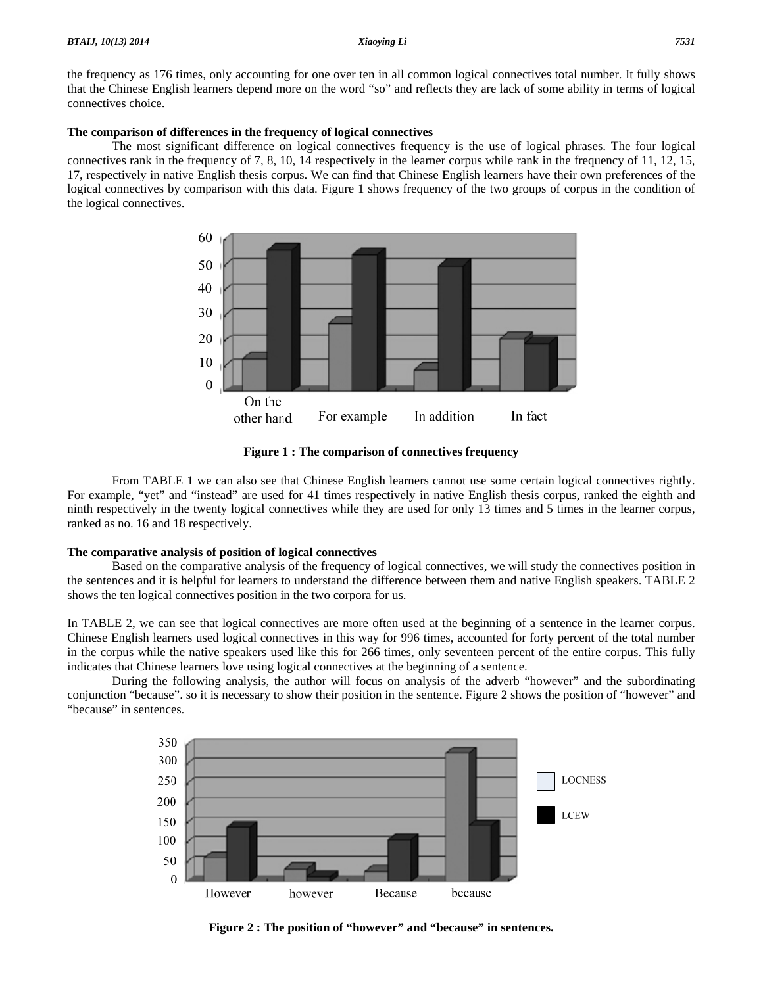the frequency as 176 times, only accounting for one over ten in all common logical connectives total number. It fully shows that the Chinese English learners depend more on the word "so" and reflects they are lack of some ability in terms of logical connectives choice.

#### **The comparison of differences in the frequency of logical connectives**

 The most significant difference on logical connectives frequency is the use of logical phrases. The four logical connectives rank in the frequency of 7, 8, 10, 14 respectively in the learner corpus while rank in the frequency of 11, 12, 15, 17, respectively in native English thesis corpus. We can find that Chinese English learners have their own preferences of the logical connectives by comparison with this data. Figure 1 shows frequency of the two groups of corpus in the condition of the logical connectives.



**Figure 1 : The comparison of connectives frequency** 

 From TABLE 1 we can also see that Chinese English learners cannot use some certain logical connectives rightly. For example, "yet" and "instead" are used for 41 times respectively in native English thesis corpus, ranked the eighth and ninth respectively in the twenty logical connectives while they are used for only 13 times and 5 times in the learner corpus, ranked as no. 16 and 18 respectively.

#### **The comparative analysis of position of logical connectives**

 Based on the comparative analysis of the frequency of logical connectives, we will study the connectives position in the sentences and it is helpful for learners to understand the difference between them and native English speakers. TABLE 2 shows the ten logical connectives position in the two corpora for us.

In TABLE 2, we can see that logical connectives are more often used at the beginning of a sentence in the learner corpus. Chinese English learners used logical connectives in this way for 996 times, accounted for forty percent of the total number in the corpus while the native speakers used like this for 266 times, only seventeen percent of the entire corpus. This fully indicates that Chinese learners love using logical connectives at the beginning of a sentence.

 During the following analysis, the author will focus on analysis of the adverb "however" and the subordinating conjunction "because". so it is necessary to show their position in the sentence. Figure 2 shows the position of "however" and "because" in sentences.



**Figure 2 : The position of "however" and "because" in sentences.**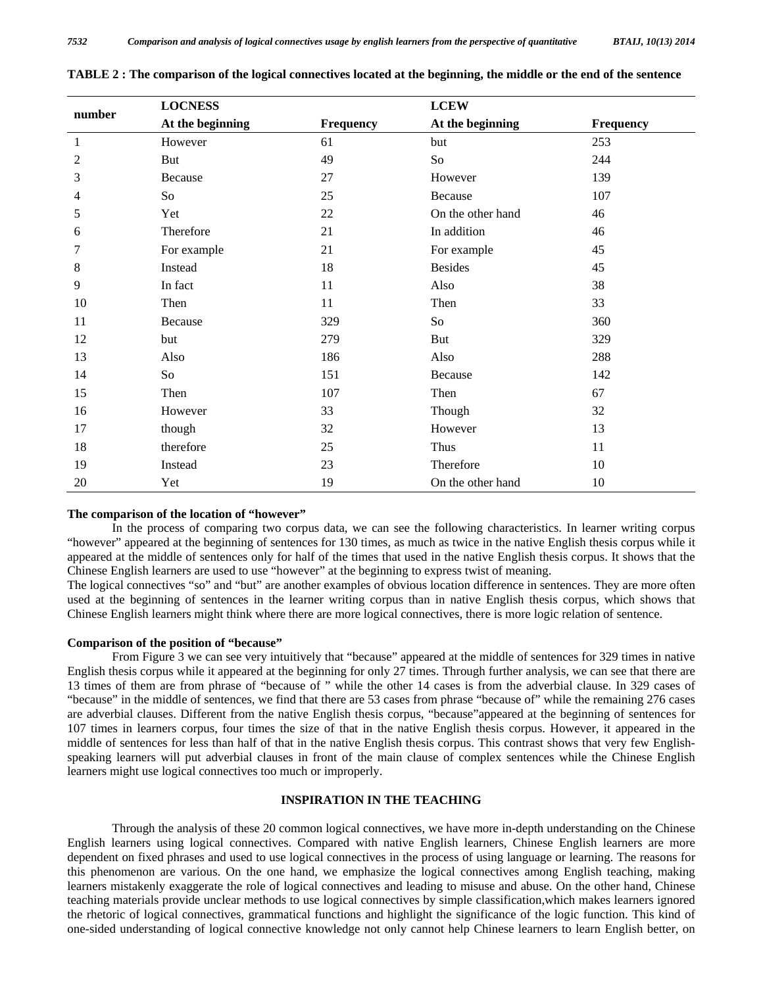|        | <b>LOCNESS</b>   |           | <b>LCEW</b>       |           |  |
|--------|------------------|-----------|-------------------|-----------|--|
| number | At the beginning | Frequency | At the beginning  | Frequency |  |
| 1      | However          | 61        | but               | 253       |  |
| 2      | But              | 49        | So                | 244       |  |
| 3      | Because          | 27        | However           | 139       |  |
| 4      | So               | 25        | Because           | 107       |  |
| 5      | Yet              | 22        | On the other hand | 46        |  |
| 6      | Therefore        | 21        | In addition       | 46        |  |
| 7      | For example      | 21        | For example       | 45        |  |
| 8      | Instead          | 18        | <b>Besides</b>    | 45        |  |
| 9      | In fact          | 11        | Also              | 38        |  |
| 10     | Then             | 11        | Then              | 33        |  |
| 11     | Because          | 329       | So                | 360       |  |
| 12     | but              | 279       | But               | 329       |  |
| 13     | Also             | 186       | Also              | 288       |  |
| 14     | So               | 151       | Because           | 142       |  |
| 15     | Then             | 107       | Then              | 67        |  |
| 16     | However          | 33        | Though            | 32        |  |
| 17     | though           | 32        | However           | 13        |  |
| 18     | therefore        | 25        | Thus              | 11        |  |
| 19     | Instead          | 23        | Therefore         | 10        |  |
| 20     | Yet              | 19        | On the other hand | 10        |  |

**TABLE 2 : The comparison of the logical connectives located at the beginning, the middle or the end of the sentence** 

#### **The comparison of the location of "however"**

 In the process of comparing two corpus data, we can see the following characteristics. In learner writing corpus "however" appeared at the beginning of sentences for 130 times, as much as twice in the native English thesis corpus while it appeared at the middle of sentences only for half of the times that used in the native English thesis corpus. It shows that the Chinese English learners are used to use "however" at the beginning to express twist of meaning.

The logical connectives "so" and "but" are another examples of obvious location difference in sentences. They are more often used at the beginning of sentences in the learner writing corpus than in native English thesis corpus, which shows that Chinese English learners might think where there are more logical connectives, there is more logic relation of sentence.

## **Comparison of the position of "because"**

 From Figure 3 we can see very intuitively that "because" appeared at the middle of sentences for 329 times in native English thesis corpus while it appeared at the beginning for only 27 times. Through further analysis, we can see that there are 13 times of them are from phrase of "because of " while the other 14 cases is from the adverbial clause. In 329 cases of "because" in the middle of sentences, we find that there are 53 cases from phrase "because of" while the remaining 276 cases are adverbial clauses. Different from the native English thesis corpus, "because"appeared at the beginning of sentences for 107 times in learners corpus, four times the size of that in the native English thesis corpus. However, it appeared in the middle of sentences for less than half of that in the native English thesis corpus. This contrast shows that very few Englishspeaking learners will put adverbial clauses in front of the main clause of complex sentences while the Chinese English learners might use logical connectives too much or improperly.

## **INSPIRATION IN THE TEACHING**

 Through the analysis of these 20 common logical connectives, we have more in-depth understanding on the Chinese English learners using logical connectives. Compared with native English learners, Chinese English learners are more dependent on fixed phrases and used to use logical connectives in the process of using language or learning. The reasons for this phenomenon are various. On the one hand, we emphasize the logical connectives among English teaching, making learners mistakenly exaggerate the role of logical connectives and leading to misuse and abuse. On the other hand, Chinese teaching materials provide unclear methods to use logical connectives by simple classification,which makes learners ignored the rhetoric of logical connectives, grammatical functions and highlight the significance of the logic function. This kind of one-sided understanding of logical connective knowledge not only cannot help Chinese learners to learn English better, on